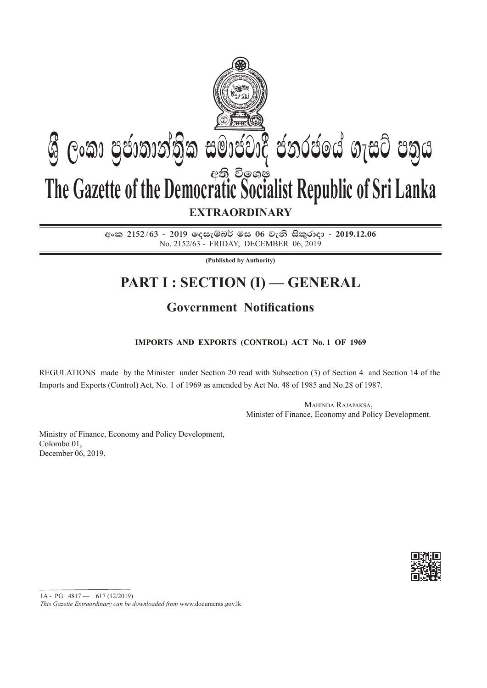

අංක 2152/63 - 2019 ලදසැම්බර් මස 06 වැනි සිකුරාදා - 2019.12.06 No. 2152/63 - friDAY, december 06, 2019

**(Published by Authority)**

# **PART I : SECTION (I) — GENERAL**

# **Government Notifications**

# **Imports and Exports (Control) Act No. 1 of 1969**

Regulations made by the Minister under Section 20 read with Subsection (3) of Section 4 and Section 14 of the Imports and Exports (Control) Act, No. 1 of 1969 as amended by Act No. 48 of 1985 and No.28 of 1987.

> Mahinda Rajapaksa, Minister of Finance, Economy and Policy Development.

Ministry of Finance, Economy and Policy Development, Colombo 01, December 06, 2019.



1A - PG 4817 — 617 (12/2019)

*This Gazette Extraordinary can be downloaded from* www.documents.gov.lk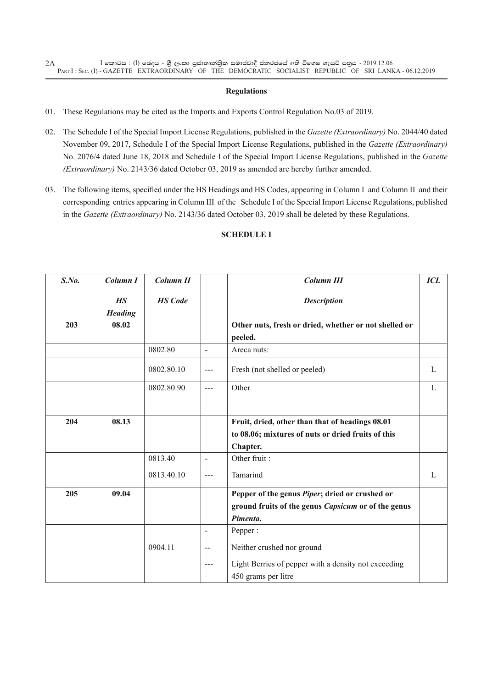#### **Regulations**

01. These Regulations may be cited as the Imports and Exports Control Regulation No.03 of 2019.

- 02. The Schedule I of the Special Import License Regulations, published in the *Gazette (Extraordinary)* No. 2044/40 dated November 09, 2017, Schedule I of the Special Import License Regulations, published in the *Gazette (Extraordinary)*  No. 2076/4 dated June 18, 2018 and Schedule I of the Special Import License Regulations, published in the *Gazette (Extraordinary)* No. 2143/36 dated October 03, 2019 as amended are hereby further amended.
- 03. The following items, specified under the HS Headings and HS Codes, appearing in Column I and Column II and their corresponding entries appearing in Column III of the Schedule I of the Special Import License Regulations, published in the *Gazette (Extraordinary)* No. 2143/36 dated October 03, 2019 shall be deleted by these Regulations.

| $S$ .No. | Column I                    | <b>Column II</b> |                | <b>Column III</b>                                                           | ICL          |
|----------|-----------------------------|------------------|----------------|-----------------------------------------------------------------------------|--------------|
|          | <b>HS</b><br><b>Heading</b> | <b>HS</b> Code   |                | <b>Description</b>                                                          |              |
| 203      | 08.02                       |                  |                | Other nuts, fresh or dried, whether or not shelled or<br>peeled.            |              |
|          |                             | 0802.80          | $\blacksquare$ | Areca nuts:                                                                 |              |
|          |                             | 0802.80.10       | $---$          | Fresh (not shelled or peeled)                                               | $\mathbf{L}$ |
|          |                             | 0802.80.90       | $---$          | Other                                                                       | L            |
|          |                             |                  |                |                                                                             |              |
| 204      | 08.13                       |                  |                | Fruit, dried, other than that of headings 08.01                             |              |
|          |                             |                  |                | to 08.06; mixtures of nuts or dried fruits of this                          |              |
|          |                             |                  |                | Chapter.                                                                    |              |
|          |                             | 0813.40          | $\sim$         | Other fruit:                                                                |              |
|          |                             | 0813.40.10       | $---$          | Tamarind                                                                    | L            |
| 205      | 09.04                       |                  |                | Pepper of the genus Piper; dried or crushed or                              |              |
|          |                             |                  |                | ground fruits of the genus <i>Capsicum</i> or of the genus                  |              |
|          |                             |                  |                | Pimenta.                                                                    |              |
|          |                             |                  |                | Pepper:                                                                     |              |
|          |                             | 0904.11          | $\overline{a}$ | Neither crushed nor ground                                                  |              |
|          |                             |                  | $- - -$        | Light Berries of pepper with a density not exceeding<br>450 grams per litre |              |

### **Schedule I**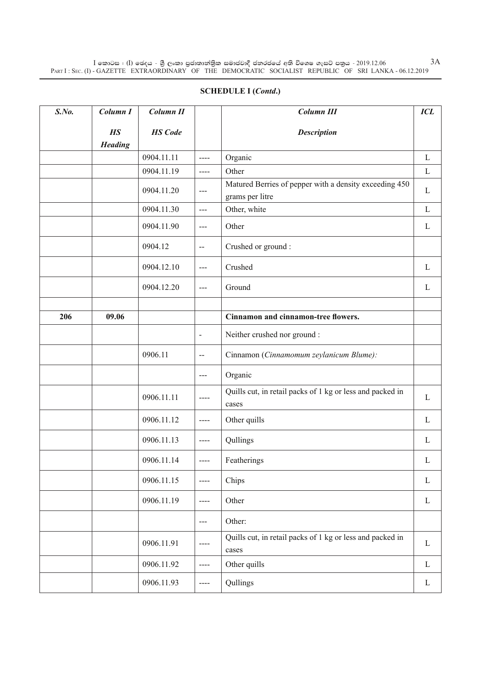# **Schedule I (***Contd***.)**

| S. No. | Column I              | Column II      |                          | <b>Column III</b>                                                         | <b>ICL</b>   |
|--------|-----------------------|----------------|--------------------------|---------------------------------------------------------------------------|--------------|
|        | H.S<br><b>Heading</b> | <b>HS</b> Code |                          | <b>Description</b>                                                        |              |
|        |                       | 0904.11.11     | $\frac{1}{2}$            | Organic                                                                   | $\mathbf{L}$ |
|        |                       | 0904.11.19     | $---$                    | Other                                                                     | $\mathbf{L}$ |
|        |                       | 0904.11.20     | $\qquad \qquad -$        | Matured Berries of pepper with a density exceeding 450<br>grams per litre | L            |
|        |                       | 0904.11.30     | $---$                    | Other, white                                                              | L            |
|        |                       | 0904.11.90     | $---$                    | Other                                                                     | L            |
|        |                       | 0904.12        | $\overline{\phantom{m}}$ | Crushed or ground :                                                       |              |
|        |                       | 0904.12.10     | $---$                    | Crushed                                                                   | L            |
|        |                       | 0904.12.20     | ---                      | Ground                                                                    | L            |
|        |                       |                |                          |                                                                           |              |
| 206    | 09.06                 |                |                          | Cinnamon and cinnamon-tree flowers.                                       |              |
|        |                       |                | $\overline{\phantom{a}}$ | Neither crushed nor ground :                                              |              |
|        |                       | 0906.11        | $\mathbf{--}$            | Cinnamon (Cinnamomum zeylanicum Blume):                                   |              |
|        |                       |                | $---$                    | Organic                                                                   |              |
|        |                       | 0906.11.11     | $--- -$                  | Quills cut, in retail packs of 1 kg or less and packed in<br>cases        | $\mathbf{L}$ |
|        |                       | 0906.11.12     | $\cdots$                 | Other quills                                                              | L            |
|        |                       | 0906.11.13     | $---$                    | Qullings                                                                  | L            |
|        |                       | 0906.11.14     | $---$                    | Featherings                                                               | L            |
|        |                       | 0906.11.15     | ----                     | Chips                                                                     | $\mathbf{L}$ |
|        |                       | 0906.11.19     | $---$                    | Other                                                                     | $\mathbf{L}$ |
|        |                       |                | $\qquad \qquad -$        | Other:                                                                    |              |
|        |                       | 0906.11.91     | ----                     | Quills cut, in retail packs of 1 kg or less and packed in<br>cases        | L            |
|        |                       | 0906.11.92     | $\frac{1}{2}$            | Other quills                                                              | $\mathbf{L}$ |
|        |                       | 0906.11.93     | ----                     | Qullings                                                                  | $\mathbf{L}$ |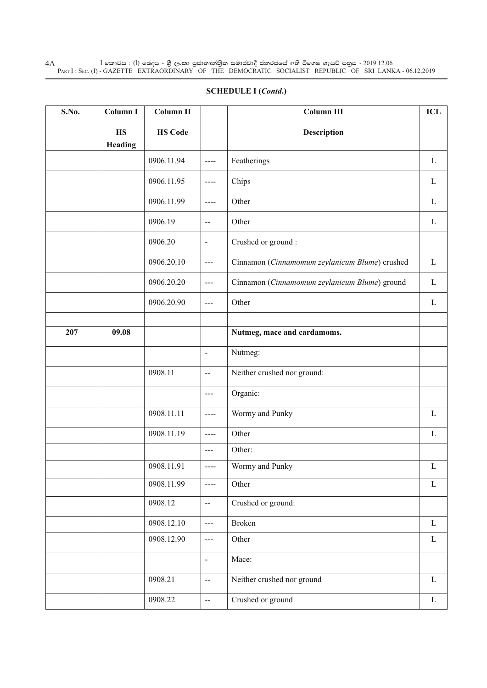$\rm I$  කොටස : ( $\rm I$ ) ඡෙදය - ශුී ලංකා පුජාතාන්තිුක සමාජවාදී ජනරජයේ අති විශෙෂ ගැසට් පතුය - 2019.12.06 Part I : Sec. (I) - GAZETTE EXTRAORDINARY OF THE DEMOCRATIC SOCIALIST REPUBLIC OF SRI LANKA - 06.12.2019 4A

| S.No. | Column I             | <b>Column II</b> |                          | Column III                                     | ICL          |
|-------|----------------------|------------------|--------------------------|------------------------------------------------|--------------|
|       | <b>HS</b><br>Heading | <b>HS Code</b>   |                          | Description                                    |              |
|       |                      | 0906.11.94       | ----                     | Featherings                                    | $\mathbf{L}$ |
|       |                      | 0906.11.95       | ----                     | Chips                                          | $\mathbf{L}$ |
|       |                      | 0906.11.99       | ----                     | Other                                          | $\mathbf{L}$ |
|       |                      | 0906.19          | $\overline{\phantom{a}}$ | Other                                          | L            |
|       |                      | 0906.20          | $\blacksquare$           | Crushed or ground:                             |              |
|       |                      | 0906.20.10       | ---                      | Cinnamon (Cinnamomum zeylanicum Blume) crushed | L            |
|       |                      | 0906.20.20       | $--$                     | Cinnamon (Cinnamomum zeylanicum Blume) ground  | L            |
|       |                      | 0906.20.90       | ---                      | Other                                          | L            |
|       |                      |                  |                          |                                                |              |
| 207   | 09.08                |                  |                          | Nutmeg, mace and cardamoms.                    |              |
|       |                      |                  | $\blacksquare$           | Nutmeg:                                        |              |
|       |                      | 0908.11          | $\overline{\phantom{a}}$ | Neither crushed nor ground:                    |              |
|       |                      |                  | ---                      | Organic:                                       |              |
|       |                      | 0908.11.11       | $---$                    | Wormy and Punky                                | L            |
|       |                      | 0908.11.19       | $---$                    | Other                                          | $\mathbf L$  |
|       |                      |                  | ---                      | Other:                                         |              |
|       |                      | 0908.11.91       | ----                     | Wormy and Punky                                | L            |
|       |                      | 0908.11.99       | ----                     | Other                                          | $\mathbf L$  |
|       |                      | 0908.12          | $\overline{\phantom{a}}$ | Crushed or ground:                             |              |
|       |                      | 0908.12.10       | ---                      | <b>Broken</b>                                  | $\mathbf{L}$ |
|       |                      | 0908.12.90       | ---                      | Other                                          | $\mathbf L$  |
|       |                      |                  | $\blacksquare$           | Mace:                                          |              |
|       |                      | 0908.21          | $\overline{\phantom{a}}$ | Neither crushed nor ground                     | $\mathbf{L}$ |
|       |                      | 0908.22          | щ.                       | Crushed or ground                              | $\mathbf L$  |

## **Schedule I (***Contd***.)**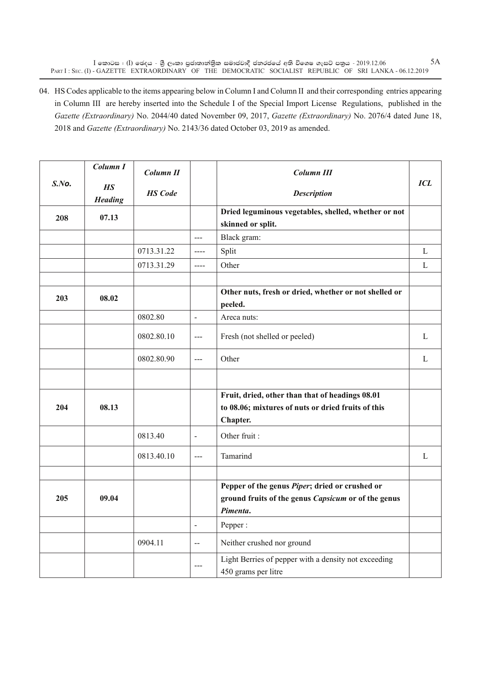$\rm I$  කොටස : ( $\rm I$ ) ඡෙදය - ශුී ලංකා පුජාතාන්තිුක සමාජවාදී ජනරජයේ අති විශෙෂ ගැසට් පතුය - 2019.12.06 Part I : Sec. (I) - GAZETTE EXTRAORDINARY OF THE DEMOCRATIC SOCIALIST REPUBLIC OF SRI LANKA - 06.12.2019

04. HS Codes applicable to the items appearing below in Column I and Column II and their corresponding entries appearing in Column III are hereby inserted into the Schedule I of the Special Import License Regulations, published in the *Gazette (Extraordinary)* No. 2044/40 dated November 09, 2017, *Gazette (Extraordinary)* No. 2076/4 dated June 18, 2018 and *Gazette (Extraordinary)* No. 2143/36 dated October 03, 2019 as amended.

|           | Column I              | Column II      |                                                                                                                                                                                                                                                                                                                                                                                                                                                | Column III                                                                                            |              |
|-----------|-----------------------|----------------|------------------------------------------------------------------------------------------------------------------------------------------------------------------------------------------------------------------------------------------------------------------------------------------------------------------------------------------------------------------------------------------------------------------------------------------------|-------------------------------------------------------------------------------------------------------|--------------|
| $S$ . No. | H.S<br><b>Heading</b> | <b>HS</b> Code |                                                                                                                                                                                                                                                                                                                                                                                                                                                | <b>Description</b>                                                                                    | <b>ICL</b>   |
| 208       | 07.13                 |                |                                                                                                                                                                                                                                                                                                                                                                                                                                                | Dried leguminous vegetables, shelled, whether or not<br>skinned or split.                             |              |
|           |                       |                | $---$                                                                                                                                                                                                                                                                                                                                                                                                                                          | Black gram:                                                                                           |              |
|           |                       | 0713.31.22     | $---$                                                                                                                                                                                                                                                                                                                                                                                                                                          | Split                                                                                                 | $\mathbf L$  |
|           |                       | 0713.31.29     | $\frac{1}{2} \left( \frac{1}{2} \right) + \frac{1}{2} \left( \frac{1}{2} \right) + \frac{1}{2} \left( \frac{1}{2} \right) + \frac{1}{2} \left( \frac{1}{2} \right) + \frac{1}{2} \left( \frac{1}{2} \right) + \frac{1}{2} \left( \frac{1}{2} \right) + \frac{1}{2} \left( \frac{1}{2} \right) + \frac{1}{2} \left( \frac{1}{2} \right) + \frac{1}{2} \left( \frac{1}{2} \right) + \frac{1}{2} \left( \frac{1}{2} \right) + \frac{1}{2} \left($ | Other                                                                                                 | L            |
|           |                       |                |                                                                                                                                                                                                                                                                                                                                                                                                                                                |                                                                                                       |              |
| 203       | 08.02                 |                |                                                                                                                                                                                                                                                                                                                                                                                                                                                | Other nuts, fresh or dried, whether or not shelled or                                                 |              |
|           |                       |                |                                                                                                                                                                                                                                                                                                                                                                                                                                                | peeled.                                                                                               |              |
|           |                       | 0802.80        | $\blacksquare$                                                                                                                                                                                                                                                                                                                                                                                                                                 | Areca nuts:                                                                                           |              |
|           |                       | 0802.80.10     | $\frac{1}{2}$                                                                                                                                                                                                                                                                                                                                                                                                                                  | Fresh (not shelled or peeled)                                                                         | $\mathbf{L}$ |
|           |                       | 0802.80.90     | $---$                                                                                                                                                                                                                                                                                                                                                                                                                                          | Other                                                                                                 | L            |
|           |                       |                |                                                                                                                                                                                                                                                                                                                                                                                                                                                |                                                                                                       |              |
| 204       | 08.13                 |                |                                                                                                                                                                                                                                                                                                                                                                                                                                                | Fruit, dried, other than that of headings 08.01<br>to 08.06; mixtures of nuts or dried fruits of this |              |
|           |                       |                |                                                                                                                                                                                                                                                                                                                                                                                                                                                | Chapter.                                                                                              |              |
|           |                       | 0813.40        | $\overline{\phantom{a}}$                                                                                                                                                                                                                                                                                                                                                                                                                       | Other fruit:                                                                                          |              |
|           |                       | 0813.40.10     | $\overline{a}$                                                                                                                                                                                                                                                                                                                                                                                                                                 | Tamarind                                                                                              | L            |
|           |                       |                |                                                                                                                                                                                                                                                                                                                                                                                                                                                |                                                                                                       |              |
|           |                       |                |                                                                                                                                                                                                                                                                                                                                                                                                                                                | Pepper of the genus Piper; dried or crushed or                                                        |              |
| 205       | 09.04                 |                |                                                                                                                                                                                                                                                                                                                                                                                                                                                | ground fruits of the genus Capsicum or of the genus                                                   |              |
|           |                       |                |                                                                                                                                                                                                                                                                                                                                                                                                                                                | Pimenta.                                                                                              |              |
|           |                       |                | $\overline{\phantom{a}}$                                                                                                                                                                                                                                                                                                                                                                                                                       | Pepper:                                                                                               |              |
|           |                       | 0904.11        | $\overline{a}$                                                                                                                                                                                                                                                                                                                                                                                                                                 | Neither crushed nor ground                                                                            |              |
|           |                       |                | $---$                                                                                                                                                                                                                                                                                                                                                                                                                                          | Light Berries of pepper with a density not exceeding<br>450 grams per litre                           |              |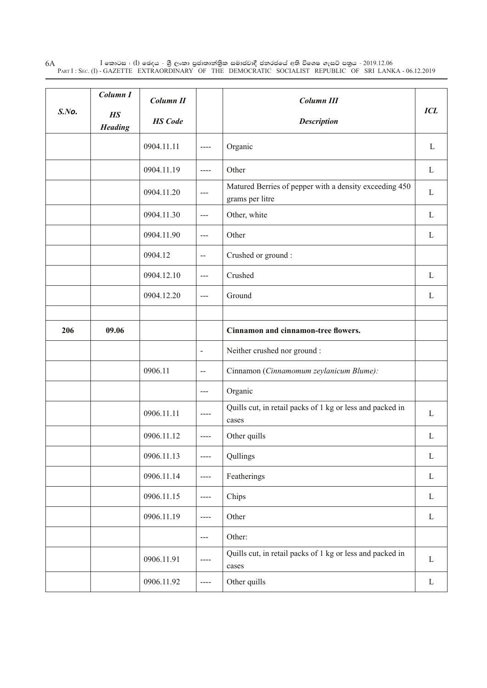$\rm I$  කොටස : ( $\rm I$ ) ඡෙදය - ශුී ලංකා පුජාතාන්තිුක සමාජවාදී ජනරජයේ අති විශෙෂ ගැසට් පතුය - 2019.12.06 Part I : Sec. (I) - GAZETTE EXTRAORDINARY OF THE DEMOCRATIC SOCIALIST REPUBLIC OF SRI LANKA - 06.12.2019 6A

|       | Column I              | Column II      |                          | <b>Column III</b>                                                         |              |
|-------|-----------------------|----------------|--------------------------|---------------------------------------------------------------------------|--------------|
| S.No. | H.S<br><b>Heading</b> | <b>HS</b> Code |                          | <b>Description</b>                                                        | <b>ICL</b>   |
|       |                       | 0904.11.11     | $\frac{1}{2}$            | Organic                                                                   | L            |
|       |                       | 0904.11.19     | $\frac{1}{2}$            | Other                                                                     | L            |
|       |                       | 0904.11.20     | $---$                    | Matured Berries of pepper with a density exceeding 450<br>grams per litre | L            |
|       |                       | 0904.11.30     | $\sim$ $\sim$            | Other, white                                                              | L            |
|       |                       | 0904.11.90     | $\overline{a}$           | Other                                                                     | L            |
|       |                       | 0904.12        | $\overline{\phantom{m}}$ | Crushed or ground:                                                        |              |
|       |                       | 0904.12.10     | $\qquad \qquad - -$      | Crushed                                                                   | L            |
|       |                       | 0904.12.20     | $---$                    | Ground                                                                    | L            |
|       |                       |                |                          |                                                                           |              |
| 206   | 09.06                 |                |                          | Cinnamon and cinnamon-tree flowers.                                       |              |
|       |                       |                | $\blacksquare$           | Neither crushed nor ground :                                              |              |
|       |                       | 0906.11        | $\mathbf{--}$            | Cinnamon (Cinnamomum zeylanicum Blume):                                   |              |
|       |                       |                | $\qquad \qquad - -$      | Organic                                                                   |              |
|       |                       | 0906.11.11     | $---$                    | Quills cut, in retail packs of 1 kg or less and packed in<br>cases        | $\mathbf{L}$ |
|       |                       | 0906.11.12     | ----                     | Other quills                                                              | L            |
|       |                       | 0906.11.13     | $\qquad \qquad - - -$    | Qullings                                                                  | $\mathbf L$  |
|       |                       | 0906.11.14     | $\qquad \qquad - - -$    | Featherings                                                               | $\mathbf L$  |
|       |                       | 0906.11.15     | $\frac{1}{2}$            | Chips                                                                     | $\mathbf{L}$ |
|       |                       | 0906.11.19     | $\qquad \qquad - - -$    | Other                                                                     | $\mathbf L$  |
|       |                       |                | $---$                    | Other:                                                                    |              |
|       |                       | 0906.11.91     | $---$                    | Quills cut, in retail packs of 1 kg or less and packed in<br>cases        | L            |
|       |                       | 0906.11.92     | $\qquad \qquad - - -$    | Other quills                                                              | $\mathbf L$  |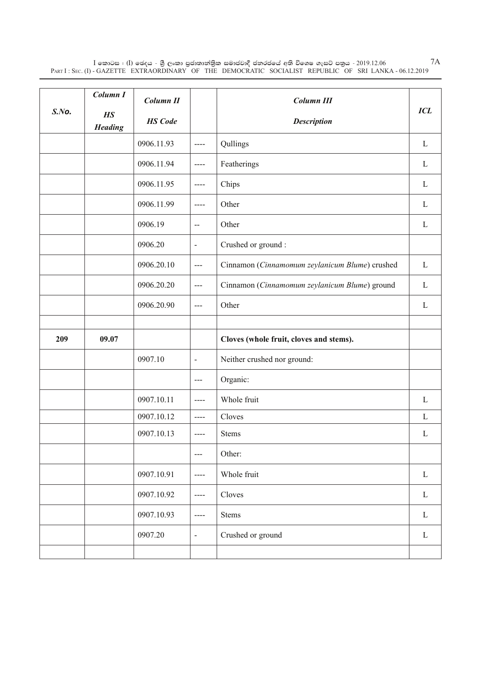$\rm I$  කොටස : ( $\rm I$ ) ඡෙදය - ශුී ලංකා පුජාතාන්තිුක සමාජවාදී ජනරජයේ අති විශෙෂ ගැසට් පතුය - 2019.12.06 Part I : Sec. (I) - GAZETTE EXTRAORDINARY OF THE DEMOCRATIC SOCIALIST REPUBLIC OF SRI LANKA - 06.12.2019

|       | Column I              | Column II      |                       | <b>Column III</b>                              |              |
|-------|-----------------------|----------------|-----------------------|------------------------------------------------|--------------|
| S.No. | H.S<br><b>Heading</b> | <b>HS</b> Code |                       | <b>Description</b>                             | <b>ICL</b>   |
|       |                       | 0906.11.93     | $\frac{1}{2}$         | Qullings                                       | L            |
|       |                       | 0906.11.94     | $---$                 | Featherings                                    | L            |
|       |                       | 0906.11.95     | $\frac{1}{2}$         | Chips                                          | L            |
|       |                       | 0906.11.99     | $\frac{1}{2}$         | Other                                          | L            |
|       |                       | 0906.19        | $\overline{a}$        | Other                                          | L            |
|       |                       | 0906.20        | $\blacksquare$        | Crushed or ground:                             |              |
|       |                       | 0906.20.10     | $---$                 | Cinnamon (Cinnamomum zeylanicum Blume) crushed | L            |
|       |                       | 0906.20.20     | $--$                  | Cinnamon (Cinnamomum zeylanicum Blume) ground  | L            |
|       |                       | 0906.20.90     | ---                   | Other                                          | L            |
|       |                       |                |                       |                                                |              |
| 209   | 09.07                 |                |                       | Cloves (whole fruit, cloves and stems).        |              |
|       |                       | 0907.10        | $\blacksquare$        | Neither crushed nor ground:                    |              |
|       |                       |                | $---$                 | Organic:                                       |              |
|       |                       | 0907.10.11     | $\qquad \qquad - - -$ | Whole fruit                                    | L            |
|       |                       | 0907.10.12     | $\frac{1}{2}$         | Cloves                                         | $\mathbf{L}$ |
|       |                       | 0907.10.13     | ----                  | <b>Stems</b>                                   | L            |
|       |                       |                | $---$                 | Other:                                         |              |
|       |                       | 0907.10.91     | $\cdots$              | Whole fruit                                    | $\mathbf{L}$ |
|       |                       | 0907.10.92     | $\cdots$              | Cloves                                         | $\mathbf{L}$ |
|       |                       | 0907.10.93     | $---$                 | <b>Stems</b>                                   | $\mathbf{L}$ |
|       |                       | 0907.20        | $\blacksquare$        | Crushed or ground                              | $\mathbf{L}$ |
|       |                       |                |                       |                                                |              |

7A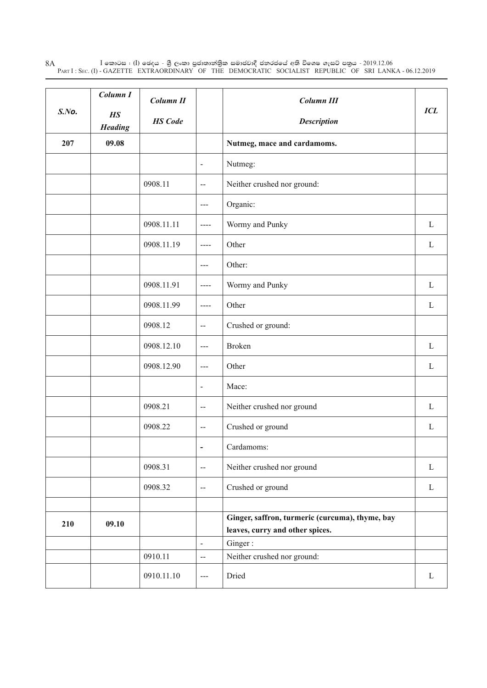$\rm I$  කොටස : ( $\rm I$ ) ඡෙදය - ශුී ලංකා පුජාතාන්තිුක සමාජවාදී ජනරජයේ අති විශෙෂ ගැසට් පතුය - 2019.12.06 Part I : Sec. (I) - GAZETTE EXTRAORDINARY OF THE DEMOCRATIC SOCIALIST REPUBLIC OF SRI LANKA - 06.12.2019 8A

| S.No. | Column I<br>H.S<br><b>Heading</b> | Column II<br><b>HS</b> Code |                                                                                                                                                                                                                                                                                                                                                                                              | Column III<br><b>Description</b>                                                   | <b>ICL</b>   |
|-------|-----------------------------------|-----------------------------|----------------------------------------------------------------------------------------------------------------------------------------------------------------------------------------------------------------------------------------------------------------------------------------------------------------------------------------------------------------------------------------------|------------------------------------------------------------------------------------|--------------|
| 207   | 09.08                             |                             |                                                                                                                                                                                                                                                                                                                                                                                              | Nutmeg, mace and cardamoms.                                                        |              |
|       |                                   |                             | $\overline{\phantom{a}}$                                                                                                                                                                                                                                                                                                                                                                     | Nutmeg:                                                                            |              |
|       |                                   | 0908.11                     | $\overline{a}$                                                                                                                                                                                                                                                                                                                                                                               | Neither crushed nor ground:                                                        |              |
|       |                                   |                             | $---$                                                                                                                                                                                                                                                                                                                                                                                        | Organic:                                                                           |              |
|       |                                   | 0908.11.11                  | $\cdots$                                                                                                                                                                                                                                                                                                                                                                                     | Wormy and Punky                                                                    | L            |
|       |                                   | 0908.11.19                  | $\frac{1}{2}$                                                                                                                                                                                                                                                                                                                                                                                | Other                                                                              | L            |
|       |                                   |                             | $\qquad \qquad - -$                                                                                                                                                                                                                                                                                                                                                                          | Other:                                                                             |              |
|       |                                   | 0908.11.91                  | $---$                                                                                                                                                                                                                                                                                                                                                                                        | Wormy and Punky                                                                    | L            |
|       |                                   | 0908.11.99                  | $\frac{1}{2} \frac{1}{2} \frac{1}{2} \frac{1}{2} \frac{1}{2} \frac{1}{2} \frac{1}{2} \frac{1}{2} \frac{1}{2} \frac{1}{2} \frac{1}{2} \frac{1}{2} \frac{1}{2} \frac{1}{2} \frac{1}{2} \frac{1}{2} \frac{1}{2} \frac{1}{2} \frac{1}{2} \frac{1}{2} \frac{1}{2} \frac{1}{2} \frac{1}{2} \frac{1}{2} \frac{1}{2} \frac{1}{2} \frac{1}{2} \frac{1}{2} \frac{1}{2} \frac{1}{2} \frac{1}{2} \frac{$ | Other                                                                              | L            |
|       |                                   | 0908.12                     | $\mathord{\hspace{1pt}\text{--}\hspace{1pt}}$                                                                                                                                                                                                                                                                                                                                                | Crushed or ground:                                                                 |              |
|       |                                   | 0908.12.10                  | $---$                                                                                                                                                                                                                                                                                                                                                                                        | <b>Broken</b>                                                                      | L            |
|       |                                   | 0908.12.90                  | $\sim$ $\sim$                                                                                                                                                                                                                                                                                                                                                                                | Other                                                                              | L            |
|       |                                   |                             | $\overline{\phantom{a}}$                                                                                                                                                                                                                                                                                                                                                                     | Mace:                                                                              |              |
|       |                                   | 0908.21                     | $\mathord{\hspace{1pt}\text{--}\hspace{1pt}}$                                                                                                                                                                                                                                                                                                                                                | Neither crushed nor ground                                                         | L            |
|       |                                   | 0908.22                     | $\overline{a}$                                                                                                                                                                                                                                                                                                                                                                               | Crushed or ground                                                                  | L            |
|       |                                   |                             | $\blacksquare$                                                                                                                                                                                                                                                                                                                                                                               | Cardamoms:                                                                         |              |
|       |                                   | 0908.31                     | $\mathord{\hspace{1pt}\text{--}\hspace{1pt}}$                                                                                                                                                                                                                                                                                                                                                | Neither crushed nor ground                                                         | $\Gamma$     |
|       |                                   | 0908.32                     | $\overline{\phantom{a}}$                                                                                                                                                                                                                                                                                                                                                                     | Crushed or ground                                                                  | $\mathbf L$  |
|       |                                   |                             |                                                                                                                                                                                                                                                                                                                                                                                              |                                                                                    |              |
| 210   | 09.10                             |                             |                                                                                                                                                                                                                                                                                                                                                                                              | Ginger, saffron, turmeric (curcuma), thyme, bay<br>leaves, curry and other spices. |              |
|       |                                   |                             | $\qquad \qquad \blacksquare$                                                                                                                                                                                                                                                                                                                                                                 | Ginger:                                                                            |              |
|       |                                   | 0910.11                     | $\overline{a}$                                                                                                                                                                                                                                                                                                                                                                               | Neither crushed nor ground:                                                        |              |
|       |                                   | 0910.11.10                  | $---$                                                                                                                                                                                                                                                                                                                                                                                        | Dried                                                                              | $\mathbf{L}$ |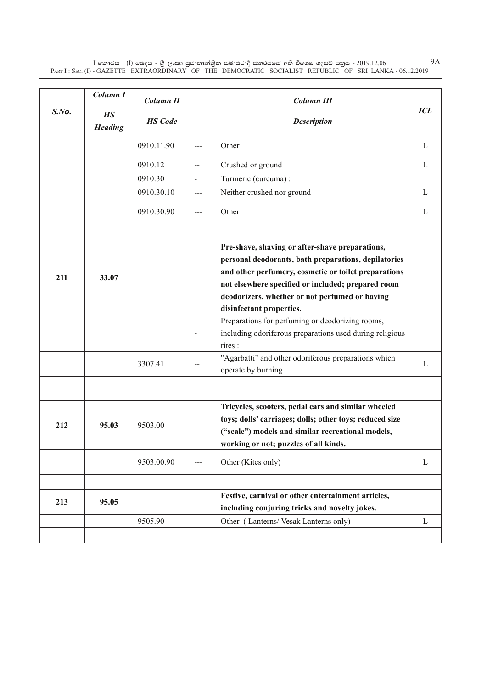$\rm I$  කොටස : ( $\rm I$ ) ඡෙදය - ශුී ලංකා පුජාතාන්තිුක සමාජවාදී ජනරජයේ අති විශෙෂ ගැසට් පතුය - 2019.12.06 Part I : Sec. (I) - GAZETTE EXTRAORDINARY OF THE DEMOCRATIC SOCIALIST REPUBLIC OF SRI LANKA - 06.12.2019

| S.No. | Column I<br><b>HS</b><br><b>Heading</b> | Column II<br><b>HS</b> Code |                                                         | <b>Column III</b><br><b>Description</b>                                                                                                                                                                                                                                                                                                                                                                                                                                                                      | <b>ICL</b> |
|-------|-----------------------------------------|-----------------------------|---------------------------------------------------------|--------------------------------------------------------------------------------------------------------------------------------------------------------------------------------------------------------------------------------------------------------------------------------------------------------------------------------------------------------------------------------------------------------------------------------------------------------------------------------------------------------------|------------|
|       |                                         | 0910.11.90                  | $---$                                                   | Other                                                                                                                                                                                                                                                                                                                                                                                                                                                                                                        | L          |
|       |                                         | 0910.12                     | $\mathbf{L}$                                            | Crushed or ground                                                                                                                                                                                                                                                                                                                                                                                                                                                                                            | L          |
|       |                                         | 0910.30                     | $\overline{\phantom{a}}$                                | Turmeric (curcuma) :                                                                                                                                                                                                                                                                                                                                                                                                                                                                                         |            |
|       |                                         | 0910.30.10                  | $  -$                                                   | Neither crushed nor ground                                                                                                                                                                                                                                                                                                                                                                                                                                                                                   | L          |
|       |                                         | 0910.30.90                  | $\frac{1}{2}$                                           | Other                                                                                                                                                                                                                                                                                                                                                                                                                                                                                                        | L          |
| 211   | 33.07                                   | 3307.41                     | $\overline{\phantom{a}}$<br>$\mathcal{L}_{\mathcal{F}}$ | Pre-shave, shaving or after-shave preparations,<br>personal deodorants, bath preparations, depilatories<br>and other perfumery, cosmetic or toilet preparations<br>not elsewhere specified or included; prepared room<br>deodorizers, whether or not perfumed or having<br>disinfectant properties.<br>Preparations for perfuming or deodorizing rooms,<br>including odoriferous preparations used during religious<br>rites :<br>"Agarbatti" and other odoriferous preparations which<br>operate by burning | L          |
| 212   | 95.03                                   | 9503.00                     |                                                         | Tricycles, scooters, pedal cars and similar wheeled<br>toys; dolls' carriages; dolls; other toys; reduced size<br>("scale") models and similar recreational models,<br>working or not; puzzles of all kinds.                                                                                                                                                                                                                                                                                                 |            |
|       |                                         | 9503.00.90                  | $---$                                                   | Other (Kites only)                                                                                                                                                                                                                                                                                                                                                                                                                                                                                           | L          |
| 213   | 95.05                                   |                             |                                                         | Festive, carnival or other entertainment articles,<br>including conjuring tricks and novelty jokes.                                                                                                                                                                                                                                                                                                                                                                                                          |            |
|       |                                         | 9505.90                     | $\blacksquare$                                          | Other (Lanterns/Vesak Lanterns only)                                                                                                                                                                                                                                                                                                                                                                                                                                                                         | L          |

9A